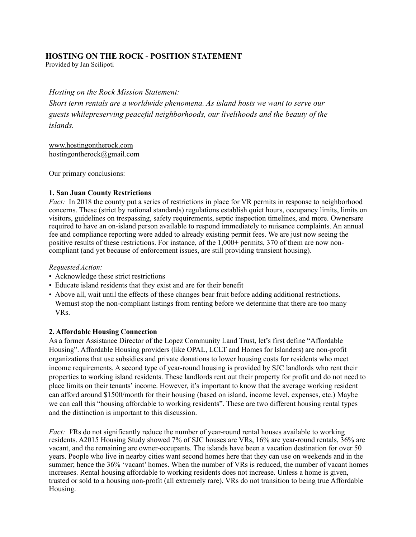# **HOSTING ON THE ROCK - POSITION STATEMENT**

Provided by Jan Scilipoti

*Hosting on the Rock Mission Statement: Short term rentals are a worldwide phenomena. As island hosts we want to serve our guests whilepreserving peaceful neighborhoods, our livelihoods and the beauty of the islands.*

[www.hostingontherock.com](http://www.hostingontherock.com/) [hostingontherock@gmail.com](mailto:hostingontherock@gmail.com)

Our primary conclusions:

### **1. San Juan County Restrictions**

*Fact:* In 2018 the county put a series of restrictions in place for VR permits in response to neighborhood concerns. These (strict by national standards) regulations establish quiet hours, occupancy limits, limits on visitors, guidelines on trespassing, safety requirements, septic inspection timelines, and more. Ownersare required to have an on-island person available to respond immediately to nuisance complaints. An annual fee and compliance reporting were added to already existing permit fees. We are just now seeing the positive results of these restrictions. For instance, of the 1,000+ permits, 370 of them are now noncompliant (and yet because of enforcement issues, are still providing transient housing).

### *Requested Action:*

- Acknowledge these strict restrictions
- Educate island residents that they exist and are for their benefit
- Above all, wait until the effects of these changes bear fruit before adding additional restrictions. Wemust stop the non-compliant listings from renting before we determine that there are too many VRs.

### **2. Affordable Housing Connection**

As a former Assistance Director of the Lopez Community Land Trust, let's first define "Affordable Housing". Affordable Housing providers (like OPAL, LCLT and Homes for Islanders) are non-profit organizations that use subsidies and private donations to lower housing costs for residents who meet income requirements. A second type of year-round housing is provided by SJC landlords who rent their properties to working island residents. These landlords rent out their property for profit and do not need to place limits on their tenants' income. However, it's important to know that the average working resident can afford around \$1500/month for their housing (based on island, income level, expenses, etc.) Maybe we can call this "housing affordable to working residents". These are two different housing rental types and the distinction is important to this discussion.

*Fact: VRs* do not significantly reduce the number of year-round rental houses available to working residents. A2015 Housing Study showed 7% of SJC houses are VRs, 16% are year-round rentals, 36% are vacant, and the remaining are owner-occupants. The islands have been a vacation destination for over 50 years. People who live in nearby cities want second homes here that they can use on weekends and in the summer; hence the 36% 'vacant' homes. When the number of VRs is reduced, the number of vacant homes increases. Rental housing affordable to working residents does not increase. Unless a home is given, trusted or sold to a housing non-profit (all extremely rare), VRs do not transition to being true Affordable Housing.